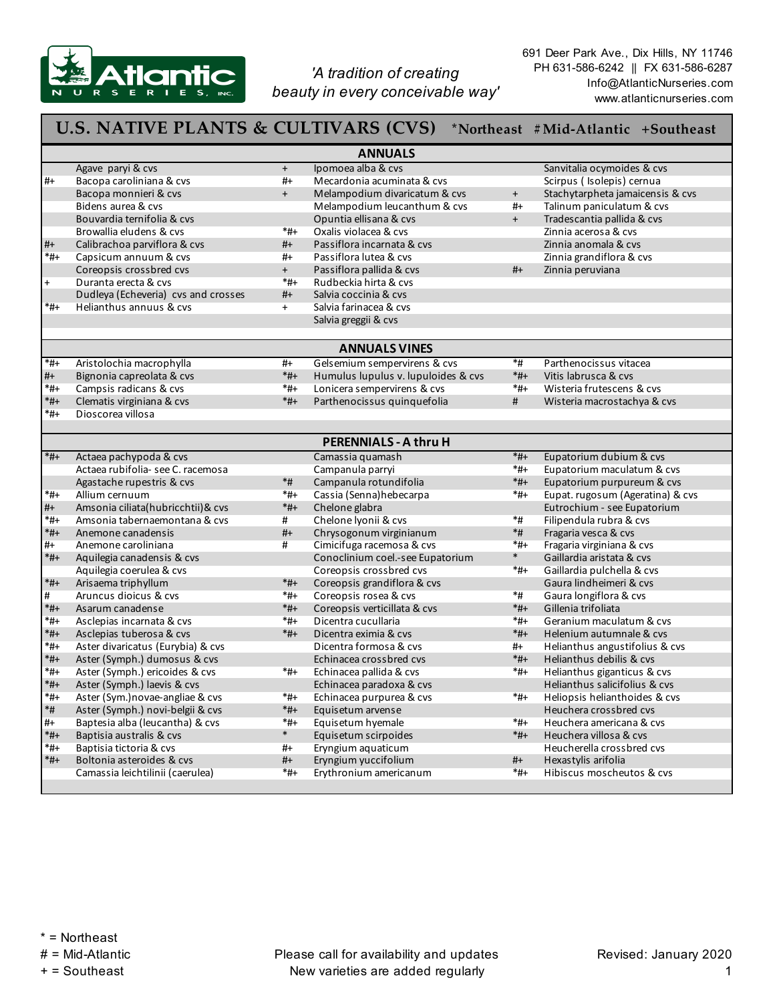

*'A tradition of creating beauty in every conceivable way'*  691 Deer Park Ave., Dix Hills, NY 11746 PH 631-586-6242 || FX 631-586-6287 Info@AtlanticNurseries.com www.atlanticnurseries.com

|                | <b>U.S. NATIVE PLANTS &amp; CULTIVARS (CVS)</b> |                  |                                     |                | *Northeast #Mid-Atlantic +Southeast |  |  |  |  |
|----------------|-------------------------------------------------|------------------|-------------------------------------|----------------|-------------------------------------|--|--|--|--|
| <b>ANNUALS</b> |                                                 |                  |                                     |                |                                     |  |  |  |  |
|                | Agave paryi & cvs                               | $+$              | Ipomoea alba & cvs                  |                | Sanvitalia ocymoides & cvs          |  |  |  |  |
| $#+$           | Bacopa caroliniana & cvs                        | $#+$             | Mecardonia acuminata & cvs          |                | Scirpus (Isolepis) cernua           |  |  |  |  |
|                | Bacopa monnieri & cvs                           | $+$              | Melampodium divaricatum & cvs       | $+$            | Stachytarpheta jamaicensis & cvs    |  |  |  |  |
|                | Bidens aurea & cvs                              |                  | Melampodium leucanthum & cvs        | $#+$           | Talinum paniculatum & cvs           |  |  |  |  |
|                | Bouvardia ternifolia & cvs                      |                  | Opuntia ellisana & cvs              | $+$            | Tradescantia pallida & cvs          |  |  |  |  |
|                | Browallia eludens & cvs                         | $^*$ #+          | Oxalis violacea & cvs               |                | Zinnia acerosa & cvs                |  |  |  |  |
| $#+$           | Calibrachoa parviflora & cvs                    | $#+$             | Passiflora incarnata & cvs          |                | Zinnia anomala & cys                |  |  |  |  |
| $*_{\sharp +}$ | Capsicum annuum & cvs                           | #+               | Passiflora lutea & cvs              |                | Zinnia grandiflora & cvs            |  |  |  |  |
|                | Coreopsis crossbred cvs                         | $+$              | Passiflora pallida & cvs            | $#+$           | Zinnia peruviana                    |  |  |  |  |
| $\ddot{}$      | Duranta erecta & cvs                            | $*_{\sharp +}$   | Rudbeckia hirta & cvs               |                |                                     |  |  |  |  |
|                | Dudleya (Echeveria) cvs and crosses             | #+               | Salvia coccinia & cvs               |                |                                     |  |  |  |  |
| $*_{\sharp +}$ | Helianthus annuus & cys                         | $+$              | Salvia farinacea & cvs              |                |                                     |  |  |  |  |
|                |                                                 |                  | Salvia greggii & cvs                |                |                                     |  |  |  |  |
|                |                                                 |                  | <b>ANNUALS VINES</b>                |                |                                     |  |  |  |  |
| *#+            | Aristolochia macrophylla                        | #+               | Gelsemium sempervirens & cvs        | $*$ #          | Parthenocissus vitacea              |  |  |  |  |
| $#+$           | Bignonia capreolata & cvs                       | $*_{#+}$         | Humulus lupulus v. lupuloides & cvs | $*_{\#+}$      | Vitis labrusca & cys                |  |  |  |  |
| $*_{\sharp +}$ | Campsis radicans & cvs                          | *#+              | Lonicera sempervirens & cvs         | $*_{\#+}$      | Wisteria frutescens & cys           |  |  |  |  |
| *#+            | Clematis virginiana & cvs                       | $*_{#+}$         | Parthenocissus quinquefolia         | #              | Wisteria macrostachya & cvs         |  |  |  |  |
| $*_{\sharp +}$ | Dioscorea villosa                               |                  |                                     |                |                                     |  |  |  |  |
|                |                                                 |                  |                                     |                |                                     |  |  |  |  |
|                |                                                 |                  | <b>PERENNIALS - A thru H</b>        |                |                                     |  |  |  |  |
| $*_{\sharp +}$ | Actaea pachypoda & cvs                          |                  | Camassia quamash                    | $*_{#+}$       | Eupatorium dubium & cvs             |  |  |  |  |
|                | Actaea rubifolia- see C. racemosa               |                  | Campanula parryi                    | *#+            | Eupatorium maculatum & cvs          |  |  |  |  |
|                | Agastache rupestris & cvs                       | $\ast \text{\#}$ | Campanula rotundifolia              | $*_{\sharp +}$ | Eupatorium purpureum & cvs          |  |  |  |  |
| *#+            | Allium cernuum                                  | *#+              | Cassia (Senna) hebecarpa            | *#+            | Eupat. rugosum (Ageratina) & cvs    |  |  |  |  |
| #+             | Amsonia ciliata(hubricchtii) & cvs              | $*_{H+}$         | Chelone glabra                      |                | Eutrochium - see Eupatorium         |  |  |  |  |
| $*_{\sharp +}$ | Amsonia tabernaemontana & cvs                   | #                | Chelone lyonii & cvs                | *#             | Filipendula rubra & cvs             |  |  |  |  |
| *#+            | Anemone canadensis                              | $#+$             | Chrysogonum virginianum             | $*$ #          | Fragaria vesca & cvs                |  |  |  |  |
| #+             | Anemone caroliniana                             | #                | Cimicifuga racemosa & cvs           | $*_{\#+}$      | Fragaria virginiana & cvs           |  |  |  |  |
| $*_{H+}$       | Aquilegia canadensis & cvs                      |                  | Conoclinium coel.-see Eupatorium    | $\ast$         | Gaillardia aristata & cvs           |  |  |  |  |
|                | Aquilegia coerulea & cvs                        |                  | Coreopsis crossbred cvs             | *#+            | Gaillardia pulchella & cvs          |  |  |  |  |
| $*_{H+}$       | Arisaema triphyllum                             | $*_{#+}$         | Coreopsis grandiflora & cvs         |                | Gaura lindheimeri & cvs             |  |  |  |  |
| #              | Aruncus dioicus & cvs                           | *#+              | Coreopsis rosea & cvs               | *#             | Gaura longiflora & cvs              |  |  |  |  |
| $*_{H+}$       | Asarum canadense                                | $*_{H+}$         | Coreopsis verticillata & cvs        | $*_{#+}$       | Gillenia trifoliata                 |  |  |  |  |
| $*_{H+}$       | Asclepias incarnata & cvs                       | *#+              | Dicentra cucullaria                 | $*_{\#+}$      | Geranium maculatum & cys            |  |  |  |  |
| $*_{H+}$       | Asclepias tuberosa & cvs                        | $*_{\sharp +}$   | Dicentra eximia & cvs               | $*_{\#+}$      | Helenium autumnale & cvs            |  |  |  |  |
| *#+            | Aster divaricatus (Eurybia) & cvs               |                  | Dicentra formosa & cys              | #+             | Helianthus angustifolius & cvs      |  |  |  |  |
| $*_{H+}$       | Aster (Symph.) dumosus & cvs                    |                  | Echinacea crossbred cys             | $*_{\sharp +}$ | Helianthus debilis & cvs            |  |  |  |  |
| $*_{\sharp +}$ | Aster (Symph.) ericoides & cvs                  | $*_{\sharp +}$   | Echinacea pallida & cvs             | $*_{#+}$       | Helianthus giganticus & cvs         |  |  |  |  |
| *#+            | Aster (Symph.) laevis & cvs                     |                  | Echinacea paradoxa & cvs            |                | Helianthus salicifolius & cvs       |  |  |  |  |
| $*_{\sharp +}$ | Aster (Sym.) novae-angliae & cvs                | $^*$ #+          | Echinacea purpurea & cvs            | $*_{\#+}$      | Heliopsis helianthoides & cvs       |  |  |  |  |
| *#             | Aster (Symph.) novi-belgii & cvs                | $*_{\sharp +}$   | Equisetum arvense                   |                | Heuchera crossbred cvs              |  |  |  |  |
| #+             | Baptesia alba (leucantha) & cvs                 | *#+              | Equisetum hyemale                   | *#+            | Heuchera americana & cvs            |  |  |  |  |
| $*_{H+}$       | Baptisia australis & cvs                        | $\ast$           | Equisetum scirpoides                | *#+            | Heuchera villosa & cys              |  |  |  |  |
| *#+            | Baptisia tictoria & cvs                         | #+               | Eryngium aquaticum                  |                | Heucherella crossbred cvs           |  |  |  |  |
| *#+            | Boltonia asteroides & cvs                       | #+               | Eryngium yuccifolium                | #+             | Hexastylis arifolia                 |  |  |  |  |
|                | Camassia leichtilinii (caerulea)                | *#+              | Erythronium americanum              | *#+            | Hibiscus moscheutos & cvs           |  |  |  |  |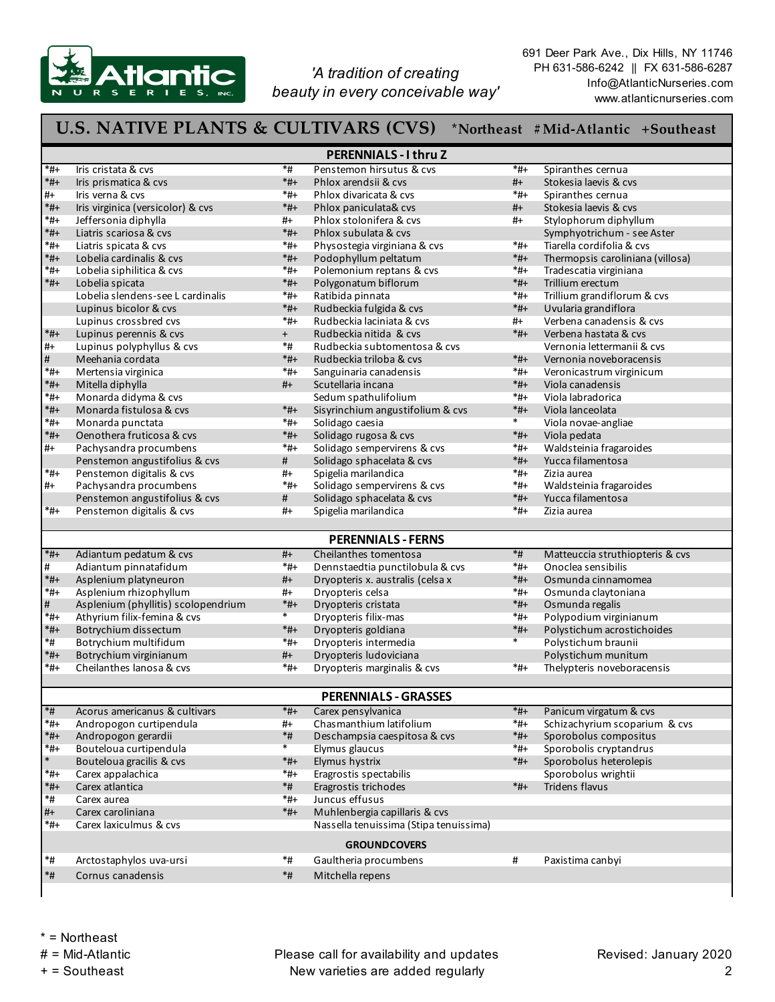

*'A tradition of creating beauty in every conceivable way'*  691 Deer Park Ave., Dix Hills, NY 11746 PH 631-586-6242 || FX 631-586-6287 Info@AtlanticNurseries.com www.atlanticnurseries.com

## **U.S. NATIVE PLANTS & CULTIVARS (CVS) \*Northeast #Mid-Atlantic +Southeast**

| <b>PERENNIALS - I thru Z</b> |                                                    |                    |                                        |                 |                                         |  |  |  |  |
|------------------------------|----------------------------------------------------|--------------------|----------------------------------------|-----------------|-----------------------------------------|--|--|--|--|
| *#+                          | Iris cristata & cvs                                | *#                 | Penstemon hirsutus & cvs               | *#+             | Spiranthes cernua                       |  |  |  |  |
| $*_{H+}$                     | Iris prismatica & cvs                              | $*_{\sharp +}$     | Phlox arendsii & cvs                   | $#+$            | Stokesia laevis & cvs                   |  |  |  |  |
| #+                           | Iris verna & cvs                                   | *#+                | Phlox divaricata & cvs                 | $*_{\sharp +}$  | Spiranthes cernua                       |  |  |  |  |
| $*_{H+}$                     | Iris virginica (versicolor) & cvs                  | $*_{\#+}$          | Phlox paniculata& cvs                  | $#+$            | Stokesia laevis & cvs                   |  |  |  |  |
| *#+                          | Jeffersonia diphylla                               | #+                 | Phlox stolonifera & cvs                | #+              | Stylophorum diphyllum                   |  |  |  |  |
| $*_{\sharp +}$               | Liatris scariosa & cvs                             | $*_{#+}$           | Phlox subulata & cvs                   |                 | Symphyotrichum - see Aster              |  |  |  |  |
| *#+                          | Liatris spicata & cvs                              | $*_{#+}$           | Physostegia virginiana & cvs           | *#+             | Tiarella cordifolia & cvs               |  |  |  |  |
| *#+                          | Lobelia cardinalis & cvs                           | $*_{\#+}$          | Podophyllum peltatum                   | $*_{H+}$        | Thermopsis caroliniana (villosa)        |  |  |  |  |
| $^*$ #+                      | Lobelia siphilitica & cvs                          | $*_{\sharp +}$     | Polemonium reptans & cvs               | $*_{\sharp +}$  | Tradescatia virginiana                  |  |  |  |  |
| *#+                          | Lobelia spicata                                    | $*_{\#+}$          | Polygonatum biflorum                   | $*_{H+}$        | Trillium erectum                        |  |  |  |  |
|                              | Lobelia slendens-see L cardinalis                  | *#+                | Ratibida pinnata                       | *#+             | Trillium grandiflorum & cvs             |  |  |  |  |
|                              | Lupinus bicolor & cvs                              | $*_{\#+}$          | Rudbeckia fulgida & cvs                | $*_{H+}$        | Uvularia grandiflora                    |  |  |  |  |
|                              | Lupinus crossbred cvs                              | $^*$ #+            | Rudbeckia laciniata & cvs              | #+              | Verbena canadensis & cvs                |  |  |  |  |
| *#+                          | Lupinus perennis & cvs                             | $+$                | Rudbeckia nitida & cvs                 | $*_{\sharp +}$  | Verbena hastata & cvs                   |  |  |  |  |
| #+                           | Lupinus polyphyllus & cvs                          | *#                 | Rudbeckia subtomentosa & cvs           |                 | Vernonia lettermanii & cvs              |  |  |  |  |
| #                            | Meehania cordata                                   | $*_{#+}$           | Rudbeckia triloba & cvs                | $*_{H+}$        | Vernonia noveboracensis                 |  |  |  |  |
| $*_{\sharp +}$               | Mertensia virginica                                | *#+                | Sanguinaria canadensis                 | *#+             | Veronicastrum virginicum                |  |  |  |  |
| *#+                          | Mitella diphylla                                   | #+                 | Scutellaria incana                     | $*_{H+}$        | Viola canadensis                        |  |  |  |  |
| *#+                          | Monarda didyma & cvs                               |                    | Sedum spathulifolium                   | *#+             | Viola labradorica                       |  |  |  |  |
| $*_{\sharp +}$               | Monarda fistulosa & cvs                            | $*_{\#+}$          | Sisyrinchium angustifolium & cvs       | $*_{H+}$        | Viola lanceolata                        |  |  |  |  |
| $^*$ #+                      | Monarda punctata                                   | $*_{\sharp +}$     | Solidago caesia                        | *               | Viola novae-angliae                     |  |  |  |  |
| *#+                          | Oenothera fruticosa & cys                          | *#+                | Solidago rugosa & cvs                  | $*_{\#+}$       |                                         |  |  |  |  |
|                              |                                                    | *#+                | Solidago sempervirens & cvs            | *#+             | Viola pedata<br>Waldsteinia fragaroides |  |  |  |  |
| #+                           | Pachysandra procumbens                             |                    |                                        |                 |                                         |  |  |  |  |
|                              | Penstemon angustifolius & cvs                      | #                  | Solidago sphacelata & cvs              | $*_{H+}$        | Yucca filamentosa                       |  |  |  |  |
| *#+                          | Penstemon digitalis & cvs                          | #+                 | Spigelia marilandica                   | *#+             | Zizia aurea                             |  |  |  |  |
| #+                           | Pachysandra procumbens                             | *#+                | Solidago sempervirens & cvs            | *#+             | Waldsteinia fragaroides                 |  |  |  |  |
|                              | Penstemon angustifolius & cvs                      | #                  | Solidago sphacelata & cvs              | $*_{H+}$        | Yucca filamentosa                       |  |  |  |  |
| *#+                          | Penstemon digitalis & cvs                          | #+                 | Spigelia marilandica                   | *#+             | Zizia aurea                             |  |  |  |  |
|                              |                                                    |                    | <b>PERENNIALS - FERNS</b>              |                 |                                         |  |  |  |  |
| $*_{\sharp +}$               | Adiantum pedatum & cvs                             | $#+$               | Cheilanthes tomentosa                  | $\ast$ #        | Matteuccia struthiopteris & cvs         |  |  |  |  |
| #                            | Adiantum pinnatafidum                              | *#+                | Dennstaedtia punctilobula & cvs        | *#+             | Onoclea sensibilis                      |  |  |  |  |
| $*_{H+}$                     | Asplenium platyneuron                              | #+                 |                                        | $*_{H+}$        | Osmunda cinnamomea                      |  |  |  |  |
|                              |                                                    |                    | Dryopteris x. australis (celsa x       |                 |                                         |  |  |  |  |
| *#+                          | Asplenium rhizophyllum                             | #+                 | Dryopteris celsa                       | *#+             | Osmunda claytoniana                     |  |  |  |  |
| #                            | Asplenium (phyllitis) scolopendrium                | $*_{#+}$<br>$\ast$ | Dryopteris cristata                    | $*_{H+}$        | Osmunda regalis                         |  |  |  |  |
| *#+                          | Athyrium filix-femina & cvs                        |                    | Dryopteris filix-mas                   | *#+             | Polypodium virginianum                  |  |  |  |  |
| *#+                          | Botrychium dissectum                               | $*_{\sharp +}$     | Dryopteris goldiana                    | $*_{H+}$        | Polystichum acrostichoides              |  |  |  |  |
| *#                           | Botrychium multifidum                              | $*_{\sharp +}$     | Dryopteris intermedia                  | *               | Polystichum braunii                     |  |  |  |  |
| *#+                          | Botrychium virginianum                             | #+                 | Dryopteris ludoviciana                 |                 | Polystichum munitum                     |  |  |  |  |
| *#+                          | Cheilanthes lanosa & cys                           | *#+                | Dryopteris marginalis & cvs            | *#+             | Thelypteris noveboracensis              |  |  |  |  |
|                              |                                                    |                    | <b>PERENNIALS - GRASSES</b>            |                 |                                         |  |  |  |  |
| *#                           | Acorus americanus & cultivars                      | $*_{#+}$           | Carex pensylvanica                     | $*_{H+}$        | Panicum virgatum & cvs                  |  |  |  |  |
| $*_{H+}$                     | Andropogon curtipendula                            | #+                 | Chasmanthium latifolium                | $*_{#+}$        | Schizachyrium scoparium & cvs           |  |  |  |  |
| $*_{\sharp +}$               | Andropogon gerardii                                | $*$ #              | Deschampsia caespitosa & cvs           | *#+             | Sporobolus compositus                   |  |  |  |  |
| $^*$ #+                      |                                                    | $\ast$             |                                        |                 | Sporobolis cryptandrus                  |  |  |  |  |
| $\ast$                       | Bouteloua curtipendula<br>Bouteloua gracilis & cvs | $*_{\#+}$          | Elymus glaucus                         | *#+<br>$*_{H+}$ | Sporobolus heterolepis                  |  |  |  |  |
| $*_{\sharp +}$               |                                                    | *#+                | Elymus hystrix                         |                 |                                         |  |  |  |  |
|                              | Carex appalachica                                  |                    | Eragrostis spectabilis                 |                 | Sporobolus wrightii<br>Tridens flavus   |  |  |  |  |
| *#+<br>*#                    | Carex atlantica                                    | $*$ #<br>$*_{#+}$  | Eragrostis trichodes                   | *#+             |                                         |  |  |  |  |
|                              | Carex aurea                                        |                    | Juncus effusus                         |                 |                                         |  |  |  |  |
| #+                           | Carex caroliniana                                  | $*_{H+}$           | Muhlenbergia capillaris & cvs          |                 |                                         |  |  |  |  |
| *#+                          | Carex laxiculmus & cvs                             |                    | Nassella tenuissima (Stipa tenuissima) |                 |                                         |  |  |  |  |
| <b>GROUNDCOVERS</b>          |                                                    |                    |                                        |                 |                                         |  |  |  |  |
| *#                           | Arctostaphylos uva-ursi                            | *#                 | Gaultheria procumbens                  | #               | Paxistima canbyi                        |  |  |  |  |
| $*$ #                        | Cornus canadensis                                  | $*$ #              | Mitchella repens                       |                 |                                         |  |  |  |  |
|                              |                                                    |                    |                                        |                 |                                         |  |  |  |  |